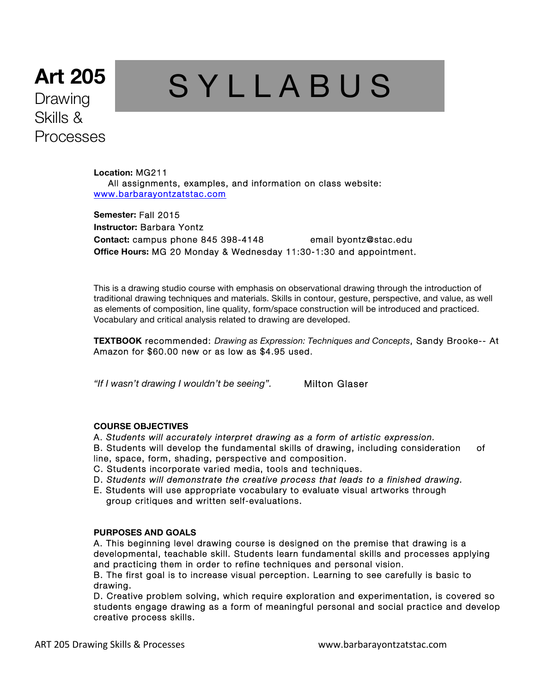# **Art 205** Drawing Skills & Processes

# S Y L L A B U S

**Location:** MG211 All assignments, examples, and information on class website: www.barbarayontzatstac.com

**Semester:** Fall 2015 **Instructor:** Barbara Yontz **Contact:** campus phone 845 398-4148 email byontz@stac.edu **Office Hours:** MG 20 Monday & Wednesday 11:30-1:30 and appointment.

This is a drawing studio course with emphasis on observational drawing through the introduction of traditional drawing techniques and materials. Skills in contour, gesture, perspective, and value, as well as elements of composition, line quality, form/space construction will be introduced and practiced. Vocabulary and critical analysis related to drawing are developed.

**TEXTBOOK** recommended: *Drawing as Expression: Techniques and Concepts*, Sandy Brooke-- At Amazon for \$60.00 new or as low as \$4.95 used.

*"If I wasn't drawing I wouldn't be seeing".* Milton Glaser

# **COURSE OBJECTIVES**

A. *Students will accurately interpret drawing as a form of artistic expression.*

B. Students will develop the fundamental skills of drawing, including consideration of line, space, form, shading, perspective and composition.

- C. Students incorporate varied media, tools and techniques.
- D. *Students will demonstrate the creative process that leads to a finished drawing.*
- E. Students will use appropriate vocabulary to evaluate visual artworks through group critiques and written self-evaluations.

**PURPOSES AND GOALS** 

A. This beginning level drawing course is designed on the premise that drawing is a developmental, teachable skill. Students learn fundamental skills and processes applying and practicing them in order to refine techniques and personal vision.

B. The first goal is to increase visual perception. Learning to see carefully is basic to drawing.

D. Creative problem solving, which require exploration and experimentation, is covered so students engage drawing as a form of meaningful personal and social practice and develop creative process skills.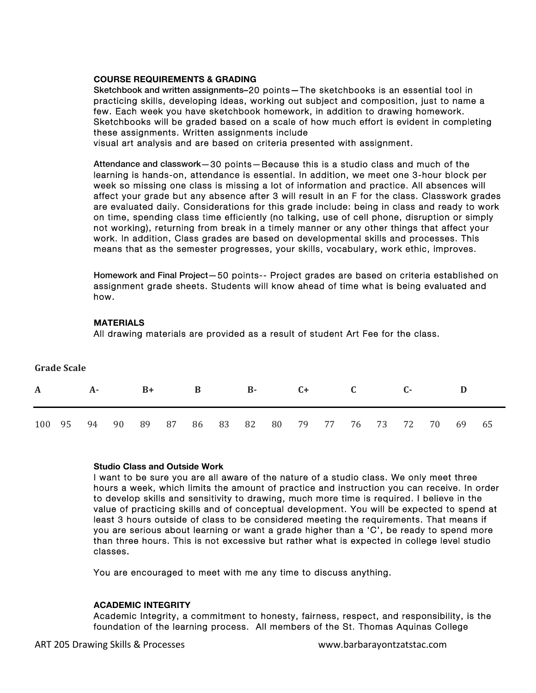#### **COURSE REQUIREMENTS & GRADING**

Sketchbook and written assignments–20 points—The sketchbooks is an essential tool in practicing skills, developing ideas, working out subject and composition, just to name a few. Each week you have sketchbook homework, in addition to drawing homework. Sketchbooks will be graded based on a scale of how much effort is evident in completing these assignments. Written assignments include

visual art analysis and are based on criteria presented with assignment.

Attendance and classwork—30 points—Because this is a studio class and much of the learning is hands-on, attendance is essential. In addition, we meet one 3-hour block per week so missing one class is missing a lot of information and practice. All absences will affect your grade but any absence after 3 will result in an F for the class. Classwork grades are evaluated daily. Considerations for this grade include: being in class and ready to work on time, spending class time efficiently (no talking, use of cell phone, disruption or simply not working), returning from break in a timely manner or any other things that affect your work. In addition, Class grades are based on developmental skills and processes. This means that as the semester progresses, your skills, vocabulary, work ethic, improves.

Homework and Final Project—50 points-- Project grades are based on criteria established on assignment grade sheets. Students will know ahead of time what is being evaluated and how.

#### **MATERIALS**

**Grade Scale** 

All drawing materials are provided as a result of student Art Fee for the class.

| Grade Scale  |    |       |      |    |   |  |              |                               |  |      |  |  |  |      |  |          |  |  |
|--------------|----|-------|------|----|---|--|--------------|-------------------------------|--|------|--|--|--|------|--|----------|--|--|
| $\mathbf{A}$ | A- |       | $B+$ |    | B |  | $\mathbf{B}$ |                               |  | $C+$ |  |  |  | $C-$ |  |          |  |  |
| 100          | 95 | 94 90 |      | 89 |   |  |              | 87 86 83 82 80 79 77 76 73 72 |  |      |  |  |  |      |  | 70 69 65 |  |  |

# **Studio Class and Outside Work**

I want to be sure you are all aware of the nature of a studio class. We only meet three hours a week, which limits the amount of practice and instruction you can receive. In order to develop skills and sensitivity to drawing, much more time is required. I believe in the value of practicing skills and of conceptual development. You will be expected to spend at least 3 hours outside of class to be considered meeting the requirements. That means if you are serious about learning or want a grade higher than a 'C', be ready to spend more than three hours. This is not excessive but rather what is expected in college level studio classes.

You are encouraged to meet with me any time to discuss anything.

#### **ACADEMIC INTEGRITY**

Academic Integrity, a commitment to honesty, fairness, respect, and responsibility, is the foundation of the learning process. All members of the St. Thomas Aquinas College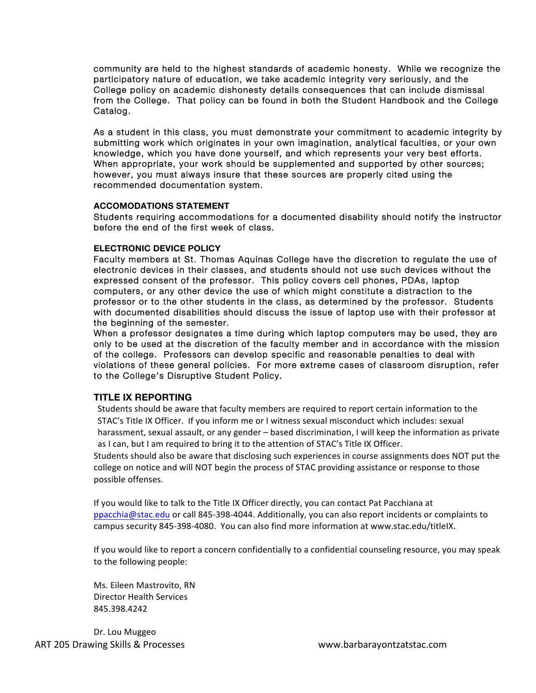community are held to the highest standards of academic honesty. While we recognize the participatory nature of education, we take academic integrity very seriously, and the College policy on academic dishonesty details consequences that can include dismissal from the College. That policy can be found in both the Student Handbook and the College Catalog.

As a student in this class, you must demonstrate your commitment to academic integrity by submitting work which originates in your own imagination, analytical faculties, or your own knowledge, which you have done yourself, and which represents your very best efforts. When appropriate, your work should be supplemented and supported by other sources; however, you must always insure that these sources are properly cited using the recommended documentation system.

#### **ACCOMODATIONS STATEMENT**

Students requiring accommodations for a documented disability should notify the instructor before the end of the first week of class.

# **ELECTRONIC DEVICE POLICY**

Faculty members at St. Thomas Aquinas College have the discretion to regulate the use of electronic devices in their classes, and students should not use such devices without the expressed consent of the professor. This policy covers cell phones, PDAs, laptop computers, or any other device the use of which might constitute a distraction to the professor or to the other students in the class, as determined by the professor. Students with documented disabilities should discuss the issue of laptop use with their professor at the beginning of the semester.

When a professor designates a time during which laptop computers may be used, they are only to be used at the discretion of the faculty member and in accordance with the mission of the college. Professors can develop specific and reasonable penalties to deal with violations of these general policies. For more extreme cases of classroom disruption, refer to the College's Disruptive Student Policy.

# **TITLE IX REPORTING**

Students should be aware that faculty members are required to report certain information to the STAC's Title IX Officer. If you inform me or I witness sexual misconduct which includes: sexual harassment, sexual assault, or any gender – based discrimination, I will keep the information as private as I can, but I am required to bring it to the attention of STAC's Title IX Officer.

Students should also be aware that disclosing such experiences in course assignments does NOT put the college on notice and will NOT begin the process of STAC providing assistance or response to those possible offenses.

If you would like to talk to the Title IX Officer directly, you can contact Pat Pacchiana at ppacchia@stac.edu or call 845-398-4044. Additionally, you can also report incidents or complaints to campus security 845-398-4080. You can also find more information at www.stac.edu/titleIX.

If you would like to report a concern confidentially to a confidential counseling resource, you may speak to the following people:

Ms. Eileen Mastrovito, RN Director Health Services 845.398.4242

ART 205 Drawing Skills & Processes example and the www.barbarayontzatstac.com Dr. Lou Muggeo